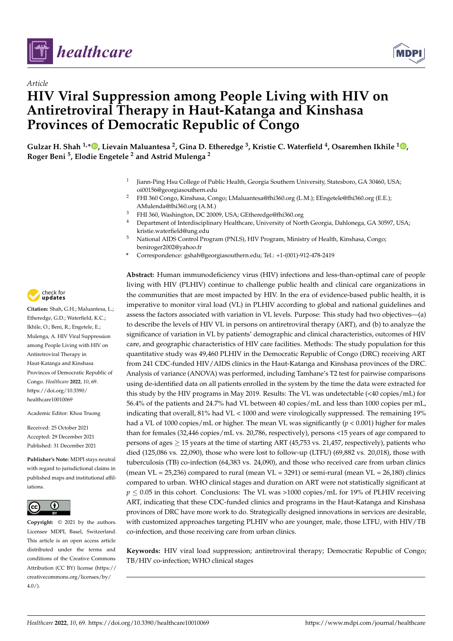



# *Article* **HIV Viral Suppression among People Living with HIV on Antiretroviral Therapy in Haut-Katanga and Kinshasa Provinces of Democratic Republic of Congo**

**Gulzar H. Shah 1,\* [,](https://orcid.org/0000-0003-0954-3418) Lievain Maluantesa <sup>2</sup> , Gina D. Etheredge <sup>3</sup> , Kristie C. Waterfield <sup>4</sup> , Osaremhen Ikhile <sup>1</sup> [,](https://orcid.org/0000-0002-9887-1546) Roger Beni <sup>5</sup> , Elodie Engetele <sup>2</sup> and Astrid Mulenga <sup>2</sup>**

- 1 Jiann-Ping Hsu College of Public Health, Georgia Southern University, Statesboro, GA 30460, USA; oi00156@georgiasouthern.edu
- <sup>2</sup> FHI 360 Congo, Kinshasa, Congo; LMaluantesa@fhi360.org (L.M.); EEngetele@fhi360.org (E.E.); AMulenda@fhi360.org (A.M.)
- <sup>3</sup> FHI 360, Washington, DC 20009, USA; GEtheredge@fhi360.org
- <sup>4</sup> Department of Interdisciplinary Healthcare, University of North Georgia, Dahlonega, GA 30597, USA; kristie.waterfield@ung.edu
- <sup>5</sup> National AIDS Control Program (PNLS), HIV Program, Ministry of Health, Kinshasa, Congo; beniroger2002@yahoo.fr
- **\*** Correspondence: gshah@georgiasouthern.edu; Tel.: +1-(001)-912-478-2419

**Abstract:** Human immunodeficiency virus (HIV) infections and less-than-optimal care of people living with HIV (PLHIV) continue to challenge public health and clinical care organizations in the communities that are most impacted by HIV. In the era of evidence-based public health, it is imperative to monitor viral load (VL) in PLHIV according to global and national guidelines and assess the factors associated with variation in VL levels. Purpose: This study had two objectives—(a) to describe the levels of HIV VL in persons on antiretroviral therapy (ART), and (b) to analyze the significance of variation in VL by patients' demographic and clinical characteristics, outcomes of HIV care, and geographic characteristics of HIV care facilities. Methods: The study population for this quantitative study was 49,460 PLHIV in the Democratic Republic of Congo (DRC) receiving ART from 241 CDC-funded HIV/AIDS clinics in the Haut-Katanga and Kinshasa provinces of the DRC. Analysis of variance (ANOVA) was performed, including Tamhane's T2 test for pairwise comparisons using de-identified data on all patients enrolled in the system by the time the data were extracted for this study by the HIV programs in May 2019. Results: The VL was undetectable (<40 copies/mL) for 56.4% of the patients and 24.7% had VL between 40 copies/mL and less than 1000 copies per mL, indicating that overall, 81% had VL < 1000 and were virologically suppressed. The remaining 19% had a VL of 1000 copies/mL or higher. The mean VL was significantly (*p* < 0.001) higher for males than for females (32,446 copies/mL vs. 20,786, respectively), persons <15 years of age compared to persons of ages  $\geq$  15 years at the time of starting ART (45,753 vs. 21,457, respectively), patients who died (125,086 vs. 22,090), those who were lost to follow-up (LTFU) (69,882 vs. 20,018), those with tuberculosis (TB) co-infection (64,383 vs. 24,090), and those who received care from urban clinics (mean VL =  $25,236$ ) compared to rural (mean VL =  $3291$ ) or semi-rural (mean VL =  $26,180$ ) clinics compared to urban. WHO clinical stages and duration on ART were not statistically significant at  $p \le 0.05$  in this cohort. Conclusions: The VL was >1000 copies/mL for 19% of PLHIV receiving ART, indicating that these CDC-funded clinics and programs in the Haut-Katanga and Kinshasa provinces of DRC have more work to do. Strategically designed innovations in services are desirable, with customized approaches targeting PLHIV who are younger, male, those LTFU, with HIV/TB co-infection, and those receiving care from urban clinics.

**Keywords:** HIV viral load suppression; antiretroviral therapy; Democratic Republic of Congo; TB/HIV co-infection; WHO clinical stages



**Citation:** Shah, G.H.; Maluantesa, L.; Etheredge, G.D.; Waterfield, K.C.; Ikhile, O.; Beni, R.; Engetele, E.; Mulenga, A. HIV Viral Suppression among People Living with HIV on Antiretroviral Therapy in Haut-Katanga and Kinshasa Provinces of Democratic Republic of Congo. *Healthcare* **2022**, *10*, 69. [https://doi.org/10.3390/](https://doi.org/10.3390/healthcare10010069) [healthcare10010069](https://doi.org/10.3390/healthcare10010069)

Academic Editor: Khoa Truong

Received: 25 October 2021 Accepted: 29 December 2021 Published: 31 December 2021

**Publisher's Note:** MDPI stays neutral with regard to jurisdictional claims in published maps and institutional affiliations.



**Copyright:** © 2021 by the authors. Licensee MDPI, Basel, Switzerland. This article is an open access article distributed under the terms and conditions of the Creative Commons Attribution (CC BY) license [\(https://](https://creativecommons.org/licenses/by/4.0/) [creativecommons.org/licenses/by/](https://creativecommons.org/licenses/by/4.0/)  $4.0/$ ).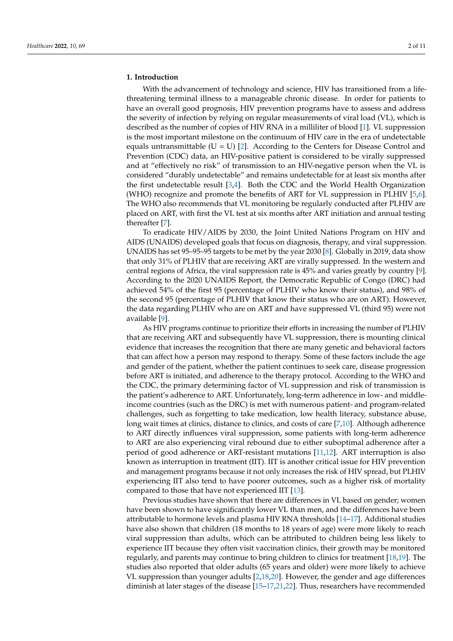# **1. Introduction**

With the advancement of technology and science, HIV has transitioned from a lifethreatening terminal illness to a manageable chronic disease. In order for patients to have an overall good prognosis, HIV prevention programs have to assess and address the severity of infection by relying on regular measurements of viral load (VL), which is described as the number of copies of HIV RNA in a milliliter of blood [\[1\]](#page-9-0). VL suppression is the most important milestone on the continuum of HIV care in the era of undetectable equals untransmittable  $(U = U)$  [\[2\]](#page-9-1). According to the Centers for Disease Control and Prevention (CDC) data, an HIV-positive patient is considered to be virally suppressed and at "effectively no risk" of transmission to an HIV-negative person when the VL is considered "durably undetectable" and remains undetectable for at least six months after the first undetectable result [\[3,](#page-9-2)[4\]](#page-9-3). Both the CDC and the World Health Organization (WHO) recognize and promote the benefits of ART for VL suppression in PLHIV [\[5,](#page-9-4)[6\]](#page-9-5). The WHO also recommends that VL monitoring be regularly conducted after PLHIV are placed on ART, with first the VL test at six months after ART initiation and annual testing thereafter [\[7\]](#page-9-6).

To eradicate HIV/AIDS by 2030, the Joint United Nations Program on HIV and AIDS (UNAIDS) developed goals that focus on diagnosis, therapy, and viral suppression. UNAIDS has set 95–95–95 targets to be met by the year 2030 [\[8\]](#page-9-7). Globally in 2019, data show that only 31% of PLHIV that are receiving ART are virally suppressed. In the western and central regions of Africa, the viral suppression rate is 45% and varies greatly by country [\[9\]](#page-9-8). According to the 2020 UNAIDS Report, the Democratic Republic of Congo (DRC) had achieved 54% of the first 95 (percentage of PLHIV who know their status), and 98% of the second 95 (percentage of PLHIV that know their status who are on ART). However, the data regarding PLHIV who are on ART and have suppressed VL (third 95) were not available [\[9\]](#page-9-8).

As HIV programs continue to prioritize their efforts in increasing the number of PLHIV that are receiving ART and subsequently have VL suppression, there is mounting clinical evidence that increases the recognition that there are many genetic and behavioral factors that can affect how a person may respond to therapy. Some of these factors include the age and gender of the patient, whether the patient continues to seek care, disease progression before ART is initiated, and adherence to the therapy protocol. According to the WHO and the CDC, the primary determining factor of VL suppression and risk of transmission is the patient's adherence to ART. Unfortunately, long-term adherence in low- and middleincome countries (such as the DRC) is met with numerous patient- and program-related challenges, such as forgetting to take medication, low health literacy, substance abuse, long wait times at clinics, distance to clinics, and costs of care [\[7](#page-9-6)[,10\]](#page-9-9). Although adherence to ART directly influences viral suppression, some patients with long-term adherence to ART are also experiencing viral rebound due to either suboptimal adherence after a period of good adherence or ART-resistant mutations [\[11,](#page-9-10)[12\]](#page-9-11). ART interruption is also known as interruption in treatment (IIT). IIT is another critical issue for HIV prevention and management programs because it not only increases the risk of HIV spread, but PLHIV experiencing IIT also tend to have poorer outcomes, such as a higher risk of mortality compared to those that have not experienced IIT [\[13\]](#page-9-12).

Previous studies have shown that there are differences in VL based on gender; women have been shown to have significantly lower VL than men, and the differences have been attributable to hormone levels and plasma HIV RNA thresholds [\[14](#page-9-13)[–17\]](#page-10-0). Additional studies have also shown that children (18 months to 18 years of age) were more likely to reach viral suppression than adults, which can be attributed to children being less likely to experience IIT because they often visit vaccination clinics, their growth may be monitored regularly, and parents may continue to bring children to clinics for treatment [\[18,](#page-10-1)[19\]](#page-10-2). The studies also reported that older adults (65 years and older) were more likely to achieve VL suppression than younger adults [\[2,](#page-9-1)[18,](#page-10-1)[20\]](#page-10-3). However, the gender and age differences diminish at later stages of the disease [\[15](#page-9-14)[–17,](#page-10-0)[21,](#page-10-4)[22\]](#page-10-5). Thus, researchers have recommended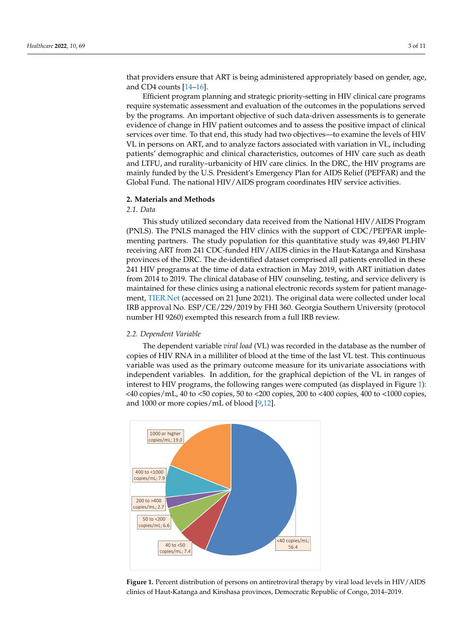that providers ensure that ART is being administered appropriately based on gender, age, and CD4 counts [\[14–](#page-9-13)[16\]](#page-9-15).

Efficient program planning and strategic priority-setting in HIV clinical care programs require systematic assessment and evaluation of the outcomes in the populations served by the programs. An important objective of such data-driven assessments is to generate evidence of change in HIV patient outcomes and to assess the positive impact of clinical services over time. To that end, this study had two objectives—to examine the levels of HIV VL in persons on ART, and to analyze factors associated with variation in VL, including patients' demographic and clinical characteristics, outcomes of HIV care such as death and LTFU, and rurality–urbanicity of HIV care clinics. In the DRC, the HIV programs are mainly funded by the U.S. President's Emergency Plan for AIDS Relief (PEPFAR) and the Global Fund. The national HIV/AIDS program coordinates HIV service activities.

### **2. Materials and Methods**

## *2.1. Data*

This study utilized secondary data received from the National HIV/AIDS Program (PNLS). The PNLS managed the HIV clinics with the support of CDC/PEPFAR implementing partners. The study population for this quantitative study was 49,460 PLHIV receiving ART from 241 CDC-funded HIV/AIDS clinics in the Haut-Katanga and Kinshasa provinces of the DRC. The de-identified dataset comprised all patients enrolled in these 241 HIV programs at the time of data extraction in May 2019, with ART initiation dates from 2014 to 2019. The clinical database of HIV counseling, testing, and service delivery is maintained for these clinics using a national electronic records system for patient management, <TIER.Net> (accessed on 21 June 2021). The original data were collected under local IRB approval No. ESP/CE/229/2019 by FHI 360. Georgia Southern University (protocol number HI 9260) exempted this research from a full IRB review.

#### *2.2. Dependent Variable*

The dependent variable *viral load* (VL) was recorded in the database as the number of copies of HIV RNA in a milliliter of blood at the time of the last VL test. This continuous variable was used as the primary outcome measure for its univariate associations with independent variables. In addition, for the graphical depiction of the VL in ranges of interest to HIV programs, the following ranges were computed (as displayed in Figure [1\)](#page-2-0): <40 copies/mL, 40 to <50 copies, 50 to <200 copies, 200 to <400 copies, 400 to <1000 copies, and 1000 or more copies/mL of blood [\[9](#page-9-8)[,12\]](#page-9-11).

<span id="page-2-0"></span>

**Figure 1.** Percent distribution of persons on antiretroviral therapy by viral load levels in HIV/AIDS *2.3. Independent Variables* clinics of Haut-Katanga and Kinshasa provinces, Democratic Republic of Congo, 2014–2019.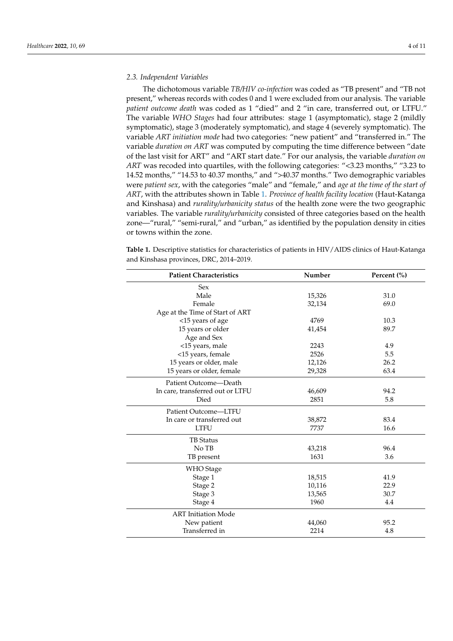## *2.3. Independent Variables*

The dichotomous variable *TB/HIV co-infection* was coded as "TB present" and "TB not present," whereas records with codes 0 and 1 were excluded from our analysis. The variable *patient outcome death* was coded as 1 "died" and 2 "in care, transferred out, or LTFU." The variable *WHO Stages* had four attributes: stage 1 (asymptomatic), stage 2 (mildly symptomatic), stage 3 (moderately symptomatic), and stage 4 (severely symptomatic). The variable *ART initiation mode* had two categories: "new patient" and "transferred in." The variable *duration on ART* was computed by computing the time difference between "date of the last visit for ART" and "ART start date." For our analysis, the variable *duration on ART* was recoded into quartiles, with the following categories: "<3.23 months," "3.23 to 14.52 months," "14.53 to 40.37 months," and ">40.37 months." Two demographic variables were *patient sex*, with the categories "male" and "female," and *age at the time of the start of ART*, with the attributes shown in Table [1.](#page-4-0) *Province of health facility location* (Haut-Katanga and Kinshasa) and *rurality/urbanicity status* of the health zone were the two geographic variables. The variable *rurality/urbanicity* consisted of three categories based on the health zone—"rural," "semi-rural," and "urban," as identified by the population density in cities or towns within the zone.

**Table 1.** Descriptive statistics for characteristics of patients in HIV/AIDS clinics of Haut-Katanga and Kinshasa provinces, DRC, 2014–2019.

| <b>Patient Characteristics</b>   | Number | Percent (%) |  |  |
|----------------------------------|--------|-------------|--|--|
| <b>Sex</b>                       |        |             |  |  |
| Male                             | 15,326 | 31.0        |  |  |
| Female                           | 32,134 | 69.0        |  |  |
| Age at the Time of Start of ART  |        |             |  |  |
| <15 years of age                 | 4769   | 10.3        |  |  |
| 15 years or older                | 41,454 | 89.7        |  |  |
| Age and Sex                      |        |             |  |  |
| <15 years, male                  | 2243   | 4.9         |  |  |
| <15 years, female                | 2526   | 5.5         |  |  |
| 15 years or older, male          | 12,126 | 26.2        |  |  |
| 15 years or older, female        | 29,328 | 63.4        |  |  |
| Patient Outcome-Death            |        |             |  |  |
| In care, transferred out or LTFU | 46,609 | 94.2        |  |  |
| Died                             | 2851   | 5.8         |  |  |
| Patient Outcome-LTFU             |        |             |  |  |
| In care or transferred out       | 38,872 | 83.4        |  |  |
| <b>LTFU</b>                      | 7737   | 16.6        |  |  |
| <b>TB</b> Status                 |        |             |  |  |
| No TB                            | 43,218 | 96.4        |  |  |
| TB present                       | 1631   | 3.6         |  |  |
| <b>WHO</b> Stage                 |        |             |  |  |
| Stage 1                          | 18,515 | 41.9        |  |  |
| Stage 2                          | 10,116 | 22.9        |  |  |
| Stage 3                          | 13,565 | 30.7        |  |  |
| Stage 4                          | 1960   | 4.4         |  |  |
| <b>ART</b> Initiation Mode       |        |             |  |  |
| New patient                      | 44,060 | 95.2        |  |  |
| Transferred in                   | 2214   | 4.8         |  |  |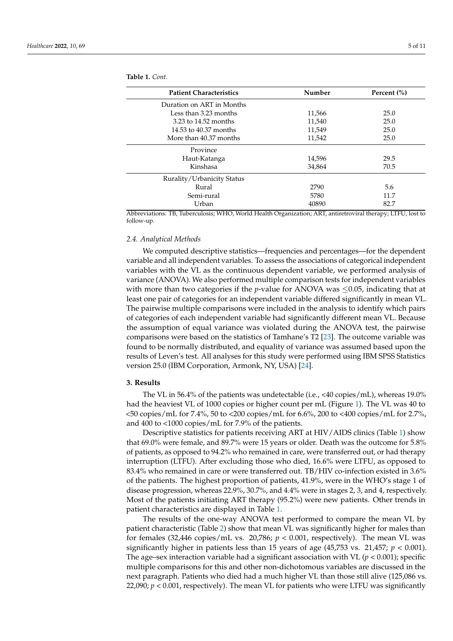| <b>Patient Characteristics</b> | Number | Percent (%) |
|--------------------------------|--------|-------------|
| Duration on ART in Months      |        |             |
| Less than 3.23 months          | 11,566 | 25.0        |
| 3.23 to 14.52 months           | 11.540 | 25.0        |
| 14.53 to 40.37 months          | 11.549 | 25.0        |
| More than 40.37 months         | 11,542 | 25.0        |
| Province                       |        |             |
| Haut-Katanga                   | 14,596 | 29.5        |
| Kinshasa                       | 34,864 | 70.5        |
| Rurality/Urbanicity Status     |        |             |
| Rural                          | 2790   | 5.6         |
| Semi-rural                     | 5780   | 11.7        |
| Urban                          | 40890  | 82.7        |

<span id="page-4-0"></span>**Table 1.** *Cont.*

Abbreviations: TB, Tuberculosis; WHO, World Health Organization; ART, antiretroviral therapy; LTFU, lost to follow-up.

## *2.4. Analytical Methods*

We computed descriptive statistics—frequencies and percentages—for the dependent variable and all independent variables. To assess the associations of categorical independent variables with the VL as the continuous dependent variable, we performed analysis of variance (ANOVA). We also performed multiple comparison tests for independent variables with more than two categories if the *p*-value for ANOVA was  $\leq$ 0.05, indicating that at least one pair of categories for an independent variable differed significantly in mean VL. The pairwise multiple comparisons were included in the analysis to identify which pairs of categories of each independent variable had significantly different mean VL. Because the assumption of equal variance was violated during the ANOVA test, the pairwise comparisons were based on the statistics of Tamhane's T2 [\[23\]](#page-10-6). The outcome variable was found to be normally distributed, and equality of variance was assumed based upon the results of Leven's test. All analyses for this study were performed using IBM SPSS Statistics version 25.0 (IBM Corporation, Armonk, NY, USA) [\[24\]](#page-10-7).

# **3. Results**

The VL in 56.4% of the patients was undetectable (i.e., <40 copies/mL), whereas 19.0% had the heaviest VL of 1000 copies or higher count per mL (Figure [1\)](#page-2-0). The VL was 40 to  $\langle 50 \text{ copies/m} L$  for 7.4%, 50 to  $\langle 200 \text{ copies/m} L$  for 6.6%, 200 to  $\langle 400 \text{ copies/m} L$  for 2.7%, and 400 to <1000 copies/mL for 7.9% of the patients.

Descriptive statistics for patients receiving ART at HIV/AIDS clinics (Table [1\)](#page-4-0) show that 69.0% were female, and 89.7% were 15 years or older. Death was the outcome for 5.8% of patients, as opposed to 94.2% who remained in care, were transferred out, or had therapy interruption (LTFU). After excluding those who died, 16.6% were LTFU, as opposed to 83.4% who remained in care or were transferred out. TB/HIV co-infection existed in 3.6% of the patients. The highest proportion of patients, 41.9%, were in the WHO's stage 1 of disease progression, whereas 22.9%, 30.7%, and 4.4% were in stages 2, 3, and 4, respectively. Most of the patients initiating ART therapy (95.2%) were new patients. Other trends in patient characteristics are displayed in Table [1.](#page-4-0)

The results of the one-way ANOVA test performed to compare the mean VL by patient characteristic (Table [2\)](#page-5-0) show that mean VL was significantly higher for males than for females (32,446 copies/mL vs. 20,786; *p* < 0.001, respectively). The mean VL was significantly higher in patients less than 15 years of age  $(45,753 \text{ vs. } 21,457; p < 0.001)$ . The age–sex interaction variable had a significant association with VL  $(p < 0.001)$ ; specific multiple comparisons for this and other non-dichotomous variables are discussed in the next paragraph. Patients who died had a much higher VL than those still alive (125,086 vs. 22,090; *p* < 0.001, respectively). The mean VL for patients who were LTFU was significantly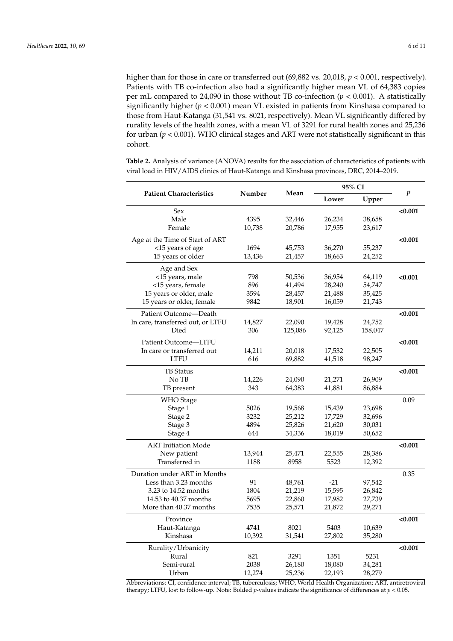higher than for those in care or transferred out (69,882 vs. 20,018,  $p < 0.001$ , respectively). Patients with TB co-infection also had a significantly higher mean VL of 64,383 copies per mL compared to 24,090 in those without TB co-infection (*p* < 0.001). A statistically significantly higher ( $p < 0.001$ ) mean VL existed in patients from Kinshasa compared to those from Haut-Katanga (31,541 vs. 8021, respectively). Mean VL significantly differed by rurality levels of the health zones, with a mean VL of 3291 for rural health zones and 25,236 for urban (*p* < 0.001). WHO clinical stages and ART were not statistically significant in this cohort.

<span id="page-5-0"></span>**Table 2.** Analysis of variance (ANOVA) results for the association of characteristics of patients with viral load in HIV/AIDS clinics of Haut-Katanga and Kinshasa provinces, DRC, 2014–2019.

| <b>Patient Characteristics</b>    | Number | Mean    | 95% CI |         |                  |
|-----------------------------------|--------|---------|--------|---------|------------------|
|                                   |        |         | Lower  | Upper   | $\boldsymbol{p}$ |
| Sex                               |        |         |        |         | < 0.001          |
| Male                              | 4395   | 32,446  | 26,234 | 38,658  |                  |
| Female                            | 10,738 | 20,786  | 17,955 | 23,617  |                  |
| Age at the Time of Start of ART   |        |         |        |         | < 0.001          |
| <15 years of age                  | 1694   | 45,753  | 36,270 | 55,237  |                  |
| 15 years or older                 | 13,436 | 21,457  | 18,663 | 24,252  |                  |
| Age and Sex                       |        |         |        |         |                  |
| <15 years, male                   | 798    | 50,536  | 36,954 | 64,119  | < 0.001          |
| <15 years, female                 | 896    | 41,494  | 28,240 | 54,747  |                  |
| 15 years or older, male           | 3594   | 28,457  | 21,488 | 35,425  |                  |
| 15 years or older, female         | 9842   | 18,901  | 16,059 | 21,743  |                  |
| Patient Outcome-Death             |        |         |        |         | < 0.001          |
| In care, transferred out, or LTFU | 14,827 | 22,090  | 19,428 | 24,752  |                  |
| Died                              | 306    | 125,086 | 92,125 | 158,047 |                  |
| Patient Outcome-LTFU              |        |         |        |         | < 0.001          |
| In care or transferred out        | 14,211 | 20,018  | 17,532 | 22,505  |                  |
| <b>LTFU</b>                       | 616    | 69,882  | 41,518 | 98,247  |                  |
| <b>TB</b> Status                  |        |         |        |         | < 0.001          |
| No TB                             | 14,226 | 24,090  | 21,271 | 26,909  |                  |
| TB present                        | 343    | 64,383  | 41,881 | 86,884  |                  |
| <b>WHO</b> Stage                  |        |         |        |         | 0.09             |
| Stage 1                           | 5026   | 19,568  | 15,439 | 23,698  |                  |
| Stage 2                           | 3232   | 25,212  | 17,729 | 32,696  |                  |
| Stage 3                           | 4894   | 25,826  | 21,620 | 30,031  |                  |
| Stage 4                           | 644    | 34,336  | 18,019 | 50,652  |                  |
| <b>ART</b> Initiation Mode        |        |         |        |         | < 0.001          |
| New patient                       | 13,944 | 25,471  | 22,555 | 28,386  |                  |
| Transferred in                    | 1188   | 8958    | 5523   | 12,392  |                  |
| Duration under ART in Months      |        |         |        |         | 0.35             |
| Less than 3.23 months             | 91     | 48,761  | $-21$  | 97,542  |                  |
| 3.23 to 14.52 months              | 1804   | 21,219  | 15,595 | 26,842  |                  |
| 14.53 to 40.37 months             | 5695   | 22,860  | 17,982 | 27,739  |                  |
| More than 40.37 months            | 7535   | 25,571  | 21,872 | 29,271  |                  |
| Province                          |        |         |        |         | < 0.001          |
| Haut-Katanga                      | 4741   | 8021    | 5403   | 10,639  |                  |
| Kinshasa                          | 10,392 | 31,541  | 27,802 | 35,280  |                  |
| Rurality/Urbanicity               |        |         |        |         | < 0.001          |
| Rural                             | 821    | 3291    | 1351   | 5231    |                  |
| Semi-rural                        | 2038   | 26,180  | 18,080 | 34,281  |                  |
| Urban                             | 12,274 | 25,236  | 22,193 | 28,279  |                  |

Abbreviations: CI, confidence interval; TB, tuberculosis; WHO, World Health Organization; ART, antiretroviral therapy; LTFU, lost to follow-up. Note: Bolded *p*-values indicate the significance of differences at *p* < 0.05.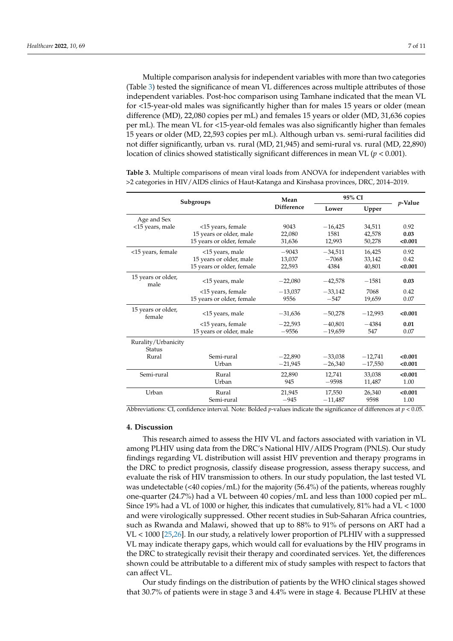Multiple comparison analysis for independent variables with more than two categories (Table [3\)](#page-6-0) tested the significance of mean VL differences across multiple attributes of those independent variables. Post-hoc comparison using Tamhane indicated that the mean VL for <15-year-old males was significantly higher than for males 15 years or older (mean difference (MD), 22,080 copies per mL) and females 15 years or older (MD, 31,636 copies per mL). The mean VL for <15-year-old females was also significantly higher than females 15 years or older (MD, 22,593 copies per mL). Although urban vs. semi-rural facilities did not differ significantly, urban vs. rural (MD, 21,945) and semi-rural vs. rural (MD, 22,890) location of clinics showed statistically significant differences in mean VL (*p* < 0.001).

| Subgroups                            |                           | Mean              | 95% CI         |           | $p$ -Value |
|--------------------------------------|---------------------------|-------------------|----------------|-----------|------------|
|                                      |                           | <b>Difference</b> | Upper<br>Lower |           |            |
| Age and Sex                          |                           |                   |                |           |            |
| <15 years, male                      | <15 years, female         | 9043              | $-16,425$      | 34,511    | 0.92       |
|                                      | 15 years or older, male   | 22,080            | 1581           | 42,578    | 0.03       |
|                                      | 15 years or older, female | 31,636            | 12,993         | 50,278    | < 0.001    |
| <15 years, female                    | <15 years, male           | $-9043$           | $-34,511$      | 16,425    | 0.92       |
|                                      | 15 years or older, male   | 13,037            | $-7068$        | 33,142    | 0.42       |
|                                      | 15 years or older, female | 22,593            | 4384           | 40,801    | < 0.001    |
| 15 years or older,<br>male           | <15 years, male           | $-22,080$         | $-42,578$      | $-1581$   | 0.03       |
|                                      | <15 years, female         | $-13,037$         | $-33,142$      | 7068      | 0.42       |
|                                      | 15 years or older, female | 9556              | $-547$         | 19,659    | 0.07       |
| 15 years or older,<br>female         | <15 years, male           | $-31,636$         | $-50,278$      | $-12,993$ | < 0.001    |
|                                      | <15 years, female         | $-22,593$         | $-40,801$      | $-4384$   | 0.01       |
|                                      | 15 years or older, male   | $-9556$           | $-19,659$      | 547       | 0.07       |
| Rurality/Urbanicity<br><b>Status</b> |                           |                   |                |           |            |
| Rural                                | Semi-rural                | $-22,890$         | $-33,038$      | $-12,741$ | < 0.001    |
|                                      | Urban                     | $-21,945$         | $-26,340$      | $-17,550$ | < 0.001    |
| Semi-rural                           | Rural                     | 22,890            | 12.741         | 33.038    | < 0.001    |
|                                      | Urban                     | 945               | $-9598$        | 11,487    | 1.00       |
| Urban                                | Rural                     | 21,945            | 17,550         | 26,340    | < 0.001    |
|                                      | Semi-rural                | $-945$            | $-11,487$      | 9598      | 1.00       |

<span id="page-6-0"></span>**Table 3.** Multiple comparisons of mean viral loads from ANOVA for independent variables with >2 categories in HIV/AIDS clinics of Haut-Katanga and Kinshasa provinces, DRC, 2014–2019.

Abbreviations: CI, confidence interval. Note: Bolded *p*-values indicate the significance of differences at *p* < 0.05.

# **4. Discussion**

This research aimed to assess the HIV VL and factors associated with variation in VL among PLHIV using data from the DRC's National HIV/AIDS Program (PNLS). Our study findings regarding VL distribution will assist HIV prevention and therapy programs in the DRC to predict prognosis, classify disease progression, assess therapy success, and evaluate the risk of HIV transmission to others. In our study population, the last tested VL was undetectable  $\left($  <40 copies/mL) for the majority (56.4%) of the patients, whereas roughly one-quarter (24.7%) had a VL between 40 copies/mL and less than 1000 copied per mL. Since 19% had a VL of 1000 or higher, this indicates that cumulatively, 81% had a VL < 1000 and were virologically suppressed. Other recent studies in Sub-Saharan Africa countries, such as Rwanda and Malawi, showed that up to 88% to 91% of persons on ART had a VL < 1000 [\[25,](#page-10-8)[26\]](#page-10-9). In our study, a relatively lower proportion of PLHIV with a suppressed VL may indicate therapy gaps, which would call for evaluations by the HIV programs in the DRC to strategically revisit their therapy and coordinated services. Yet, the differences shown could be attributable to a different mix of study samples with respect to factors that can affect VL.

Our study findings on the distribution of patients by the WHO clinical stages showed that 30.7% of patients were in stage 3 and 4.4% were in stage 4. Because PLHIV at these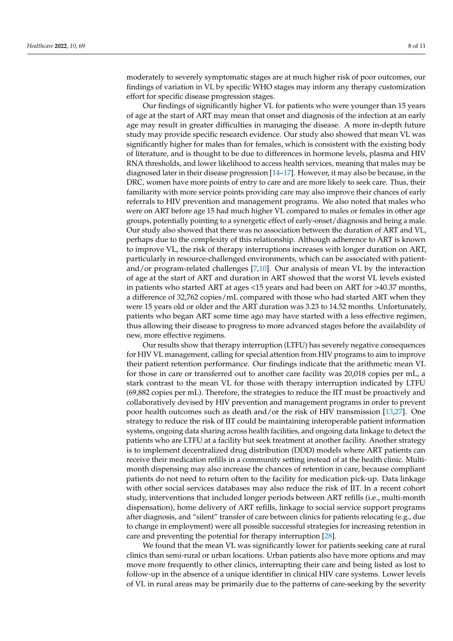moderately to severely symptomatic stages are at much higher risk of poor outcomes, our findings of variation in VL by specific WHO stages may inform any therapy customization effort for specific disease progression stages.

Our findings of significantly higher VL for patients who were younger than 15 years of age at the start of ART may mean that onset and diagnosis of the infection at an early age may result in greater difficulties in managing the disease. A more in-depth future study may provide specific research evidence. Our study also showed that mean VL was significantly higher for males than for females, which is consistent with the existing body of literature, and is thought to be due to differences in hormone levels, plasma and HIV RNA thresholds, and lower likelihood to access health services, meaning that males may be diagnosed later in their disease progression  $[14–17]$  $[14–17]$ . However, it may also be because, in the DRC, women have more points of entry to care and are more likely to seek care. Thus, their familiarity with more service points providing care may also improve their chances of early referrals to HIV prevention and management programs. We also noted that males who were on ART before age 15 had much higher VL compared to males or females in other age groups, potentially pointing to a synergetic effect of early-onset/diagnosis and being a male. Our study also showed that there was no association between the duration of ART and VL, perhaps due to the complexity of this relationship. Although adherence to ART is known to improve VL, the risk of therapy interruptions increases with longer duration on ART, particularly in resource-challenged environments, which can be associated with patientand/or program-related challenges [\[7,](#page-9-6)[10\]](#page-9-9). Our analysis of mean VL by the interaction of age at the start of ART and duration in ART showed that the worst VL levels existed in patients who started ART at ages <15 years and had been on ART for >40.37 months, a difference of 32,762 copies/mL compared with those who had started ART when they were 15 years old or older and the ART duration was 3.23 to 14.52 months. Unfortunately, patients who began ART some time ago may have started with a less effective regimen, thus allowing their disease to progress to more advanced stages before the availability of new, more effective regimens.

Our results show that therapy interruption (LTFU) has severely negative consequences for HIV VL management, calling for special attention from HIV programs to aim to improve their patient retention performance. Our findings indicate that the arithmetic mean VL for those in care or transferred out to another care facility was 20,018 copies per mL, a stark contrast to the mean VL for those with therapy interruption indicated by LTFU (69,882 copies per mL). Therefore, the strategies to reduce the IIT must be proactively and collaboratively devised by HIV prevention and management programs in order to prevent poor health outcomes such as death and/or the risk of HIV transmission [\[13,](#page-9-12)[27\]](#page-10-10). One strategy to reduce the risk of IIT could be maintaining interoperable patient information systems, ongoing data sharing across health facilities, and ongoing data linkage to detect the patients who are LTFU at a facility but seek treatment at another facility. Another strategy is to implement decentralized drug distribution (DDD) models where ART patients can receive their medication refills in a community setting instead of at the health clinic. Multimonth dispensing may also increase the chances of retention in care, because compliant patients do not need to return often to the facility for medication pick-up. Data linkage with other social services databases may also reduce the risk of IIT. In a recent cohort study, interventions that included longer periods between ART refills (i.e., multi-month dispensation), home delivery of ART refills, linkage to social service support programs after diagnosis, and "silent" transfer of care between clinics for patients relocating (e.g., due to change in employment) were all possible successful strategies for increasing retention in care and preventing the potential for therapy interruption [\[28\]](#page-10-11).

We found that the mean VL was significantly lower for patients seeking care at rural clinics than semi-rural or urban locations. Urban patients also have more options and may move more frequently to other clinics, interrupting their care and being listed as lost to follow-up in the absence of a unique identifier in clinical HIV care systems. Lower levels of VL in rural areas may be primarily due to the patterns of care-seeking by the severity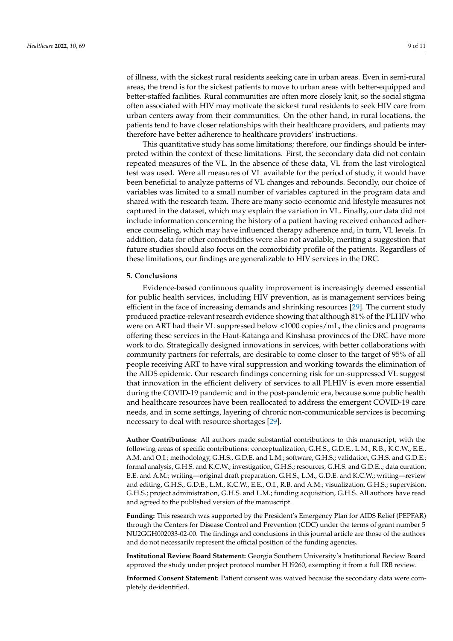of illness, with the sickest rural residents seeking care in urban areas. Even in semi-rural areas, the trend is for the sickest patients to move to urban areas with better-equipped and better-staffed facilities. Rural communities are often more closely knit, so the social stigma often associated with HIV may motivate the sickest rural residents to seek HIV care from urban centers away from their communities. On the other hand, in rural locations, the patients tend to have closer relationships with their healthcare providers, and patients may therefore have better adherence to healthcare providers' instructions.

This quantitative study has some limitations; therefore, our findings should be interpreted within the context of these limitations. First, the secondary data did not contain repeated measures of the VL. In the absence of these data, VL from the last virological test was used. Were all measures of VL available for the period of study, it would have been beneficial to analyze patterns of VL changes and rebounds. Secondly, our choice of variables was limited to a small number of variables captured in the program data and shared with the research team. There are many socio-economic and lifestyle measures not captured in the dataset, which may explain the variation in VL. Finally, our data did not include information concerning the history of a patient having received enhanced adherence counseling, which may have influenced therapy adherence and, in turn, VL levels. In addition, data for other comorbidities were also not available, meriting a suggestion that future studies should also focus on the comorbidity profile of the patients. Regardless of these limitations, our findings are generalizable to HIV services in the DRC.

### **5. Conclusions**

Evidence-based continuous quality improvement is increasingly deemed essential for public health services, including HIV prevention, as is management services being efficient in the face of increasing demands and shrinking resources [\[29\]](#page-10-12). The current study produced practice-relevant research evidence showing that although 81% of the PLHIV who were on ART had their VL suppressed below <1000 copies/mL, the clinics and programs offering these services in the Haut-Katanga and Kinshasa provinces of the DRC have more work to do. Strategically designed innovations in services, with better collaborations with community partners for referrals, are desirable to come closer to the target of 95% of all people receiving ART to have viral suppression and working towards the elimination of the AIDS epidemic. Our research findings concerning risk for un-suppressed VL suggest that innovation in the efficient delivery of services to all PLHIV is even more essential during the COVID-19 pandemic and in the post-pandemic era, because some public health and healthcare resources have been reallocated to address the emergent COVID-19 care needs, and in some settings, layering of chronic non-communicable services is becoming necessary to deal with resource shortages [\[29\]](#page-10-12).

**Author Contributions:** All authors made substantial contributions to this manuscript, with the following areas of specific contributions: conceptualization, G.H.S., G.D.E., L.M., R.B., K.C.W., E.E., A.M. and O.I.; methodology, G.H.S., G.D.E. and L.M.; software, G.H.S.; validation, G.H.S. and G.D.E.; formal analysis, G.H.S. and K.C.W.; investigation, G.H.S.; resources, G.H.S. and G.D.E..; data curation, E.E. and A.M.; writing—original draft preparation, G.H.S., L.M., G.D.E. and K.C.W.; writing—review and editing, G.H.S., G.D.E., L.M., K.C.W., E.E., O.I., R.B. and A.M.; visualization, G.H.S.; supervision, G.H.S.; project administration, G.H.S. and L.M.; funding acquisition, G.H.S. All authors have read and agreed to the published version of the manuscript.

**Funding:** This research was supported by the President's Emergency Plan for AIDS Relief (PEPFAR) through the Centers for Disease Control and Prevention (CDC) under the terms of grant number 5 NU2GGH002033-02-00. The findings and conclusions in this journal article are those of the authors and do not necessarily represent the official position of the funding agencies.

**Institutional Review Board Statement:** Georgia Southern University's Institutional Review Board approved the study under project protocol number H l9260, exempting it from a full IRB review.

**Informed Consent Statement:** Patient consent was waived because the secondary data were completely de-identified.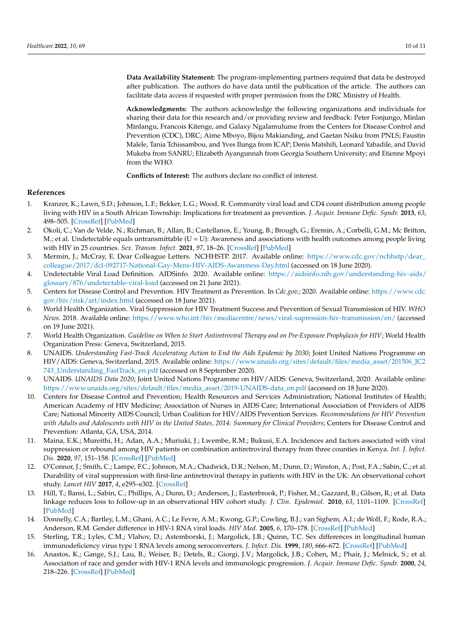**Data Availability Statement:** The program-implementing partners required that data be destroyed after publication. The authors do have data until the publication of the article. The authors can facilitate data access if requested with proper permission from the DRC Ministry of Health.

**Acknowledgments:** The authors acknowledge the following organizations and individuals for sharing their data for this research and/or providing review and feedback: Peter Fonjungo, Minlan Minlangu, Francois Kitenge, and Galaxy Ngalamulume from the Centers for Disease Control and Prevention (CDC), DRC; Aime Mboyo, Bijou Makianding, and Gaetan Nsiku from PNLS; Faustin Malele, Tania Tchissambou, and Yves Ilunga from ICAP; Denis Matshifi, Leonard Yabadile, and David Mukeba from SANRU; Elizabeth Ayangunnah from Georgia Southern University; and Etienne Mpoyi from the WHO.

**Conflicts of Interest:** The authors declare no conflict of interest.

### **References**

- <span id="page-9-0"></span>1. Kranzer, K.; Lawn, S.D.; Johnson, L.F.; Bekker, L.G.; Wood, R. Community viral load and CD4 count distribution among people living with HIV in a South African Township: Implications for treatment as prevention. *J. Acquir. Immune Defic. Syndr.* **2013**, *63*, 498–505. [\[CrossRef\]](http://doi.org/10.1097/QAI.0b013e318293ae48) [\[PubMed\]](http://www.ncbi.nlm.nih.gov/pubmed/23572010)
- <span id="page-9-1"></span>2. Okoli, C.; Van de Velde, N.; Richman, B.; Allan, B.; Castellanos, E.; Young, B.; Brough, G.; Eremin, A.; Corbelli, G.M.; Mc Britton, M.; et al. Undetectable equals untransmittable  $(U = U)$ : Awareness and associations with health outcomes among people living with HIV in 25 countries. *Sex. Transm. Infect.* **2021**, *97*, 18–26. [\[CrossRef\]](http://doi.org/10.1136/sextrans-2020-054551) [\[PubMed\]](http://www.ncbi.nlm.nih.gov/pubmed/32732335)
- <span id="page-9-2"></span>3. Mermin, J.; McCray, E. Dear Colleague Letters. NCHHSTP. 2017. Available online: [https://www.cdc.gov/nchhstp/dear\\_](https://www.cdc.gov/nchhstp/dear_colleague/2017/dcl-092717-National-Gay-Mens-HIV-AIDS-Awareness-Day.html) [colleague/2017/dcl-092717-National-Gay-Mens-HIV-AIDS-Awareness-Day.html](https://www.cdc.gov/nchhstp/dear_colleague/2017/dcl-092717-National-Gay-Mens-HIV-AIDS-Awareness-Day.html) (accessed on 18 June 2020).
- <span id="page-9-3"></span>4. Undetectable Viral Load Definition. AIDSinfo. 2020. Available online: [https://aidsinfo.nih.gov/understanding-hiv-aids/](https://aidsinfo.nih.gov/understanding-hiv-aids/glossary/876/undetectable-viral-load) [glossary/876/undetectable-viral-load](https://aidsinfo.nih.gov/understanding-hiv-aids/glossary/876/undetectable-viral-load) (accessed on 21 June 2021).
- <span id="page-9-4"></span>5. Centers for Disease Control and Prevention. HIV Treatment as Prevention. In *Cdc.gov.*; 2020. Available online: [https://www.cdc.](https://www.cdc.gov/hiv/risk/art/index.html) [gov/hiv/risk/art/index.html](https://www.cdc.gov/hiv/risk/art/index.html) (accessed on 18 June 2021).
- <span id="page-9-5"></span>6. World Health Organization. Viral Suppression for HIV Treatment Success and Prevention of Sexual Transmission of HIV. *WHO News.* 2018. Available online: <https://www.who.int/hiv/mediacentre/news/viral-supression-hiv-transmission/en/> (accessed on 19 June 2021).
- <span id="page-9-6"></span>7. World Health Organization. *Guideline on When to Start Antiretroviral Therapy and on Pre-Exposure Prophylaxis for HIV*; World Health Organization Press: Geneva, Switzerland, 2015.
- <span id="page-9-7"></span>8. UNAIDS. *Understanding Fast-Track Accelerating Action to End the Aids Epidemic by 2030*; Joint United Nations Programme on HIV/AIDS: Geneva, Switzerland, 2015. Available online: [https://www.unaids.org/sites/default/files/media\\_asset/201506\\_JC2](https://www.unaids.org/sites/default/files/media_asset/201506_JC2743_Understanding_FastTrack_en.pdf) [743\\_Understanding\\_FastTrack\\_en.pdf](https://www.unaids.org/sites/default/files/media_asset/201506_JC2743_Understanding_FastTrack_en.pdf) (accessed on 8 September 2020).
- <span id="page-9-8"></span>9. UNAIDS. *UNAIDS Data 2020*; Joint United Nations Programme on HIV/AIDS: Geneva, Switzerland, 2020. Available online: [https://www.unaids.org/sites/default/files/media\\_asset/2019-UNAIDS-data\\_en.pdf](https://www.unaids.org/sites/default/files/media_asset/2019-UNAIDS-data_en.pdf) (accessed on 18 June 2020).
- <span id="page-9-9"></span>10. Centers for Disease Control and Prevention; Health Resources and Services Administration; National Institutes of Health; American Academy of HIV Medicine; Association of Nurses in AIDS Care; International Association of Providers of AIDS Care; National Minority AIDS Council; Urban Coalition for HIV/AIDS Prevention Services. *Recommendations for HIV Prevention with Adults and Adolescents with HIV in the United States, 2014: Summary for Clinical Providers*; Centers for Disease Control and Prevention: Atlanta, GA, USA, 2014.
- <span id="page-9-10"></span>11. Maina, E.K.; Mureithi, H.; Adan, A.A.; Muriuki, J.; Lwembe, R.M.; Bukusi, E.A. Incidences and factors associated with viral suppression or rebound among HIV patients on combination antiretroviral therapy from three counties in Kenya. *Int. J. Infect. Dis.* **2020**, *97*, 151–158. [\[CrossRef\]](http://doi.org/10.1016/j.ijid.2020.05.097) [\[PubMed\]](http://www.ncbi.nlm.nih.gov/pubmed/32497804)
- <span id="page-9-11"></span>12. O'Connor, J.; Smith, C.; Lampe, F.C.; Johnson, M.A.; Chadwick, D.R.; Nelson, M.; Dunn, D.; Winston, A.; Post, F.A.; Sabin, C.; et al. Durability of viral suppression with first-line antiretroviral therapy in patients with HIV in the UK: An observational cohort study. *Lancet HIV* **2017**, *4*, e295–e302. [\[CrossRef\]](http://doi.org/10.1016/S2352-3018(17)30053-X)
- <span id="page-9-12"></span>13. Hill, T.; Bansi, L.; Sabin, C.; Phillips, A.; Dunn, D.; Anderson, J.; Easterbrook, P.; Fisher, M.; Gazzard, B.; Gilson, R.; et al. Data linkage reduces loss to follow-up in an observational HIV cohort study. *J. Clin. Epidemiol.* **2010**, *63*, 1101–1109. [\[CrossRef\]](http://doi.org/10.1016/j.jclinepi.2009.12.007) [\[PubMed\]](http://www.ncbi.nlm.nih.gov/pubmed/20347263)
- <span id="page-9-13"></span>14. Donnelly, C.A.; Bartley, L.M.; Ghani, A.C.; Le Fevre, A.M.; Kwong, G.P.; Cowling, B.J.; van Sighem, A.I.; de Wolf, F.; Rode, R.A.; Anderson, R.M. Gender difference in HIV-1 RNA viral loads. *HIV Med.* **2005**, *6*, 170–178. [\[CrossRef\]](http://doi.org/10.1111/j.1468-1293.2005.00285.x) [\[PubMed\]](http://www.ncbi.nlm.nih.gov/pubmed/15876283)
- <span id="page-9-14"></span>15. Sterling, T.R.; Lyles, C.M.; Vlahov, D.; Astemborski, J.; Margolick, J.B.; Quinn, T.C. Sex differences in longitudinal human immunodeficiency virus type 1 RNA levels among seroconverters. *J. Infect. Dis.* **1999**, *180*, 666–672. [\[CrossRef\]](http://doi.org/10.1086/314967) [\[PubMed\]](http://www.ncbi.nlm.nih.gov/pubmed/10438353)
- <span id="page-9-15"></span>16. Anastos, K.; Gange, S.J.; Lau, B.; Weiser, B.; Detels, R.; Giorgi, J.V.; Margolick, J.B.; Cohen, M.; Phair, J.; Melnick, S.; et al. Association of race and gender with HIV-1 RNA levels and immunologic progression. *J. Acquir. Immune Defic. Syndr.* **2000**, *24*, 218–226. [\[CrossRef\]](http://doi.org/10.1097/00126334-200007010-00004) [\[PubMed\]](http://www.ncbi.nlm.nih.gov/pubmed/10969345)